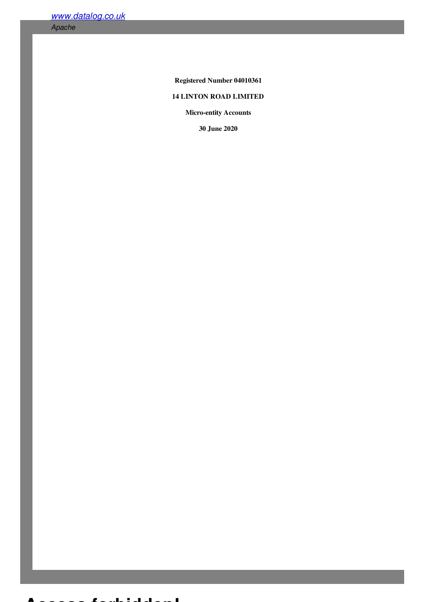*[www.datalog.co.uk](/)*

*Apache*

Registered Number 04010361

# 14 LINTON ROAD LIMITED

Micro-entity Accounts

30 June 2020

### **Access forbidden!**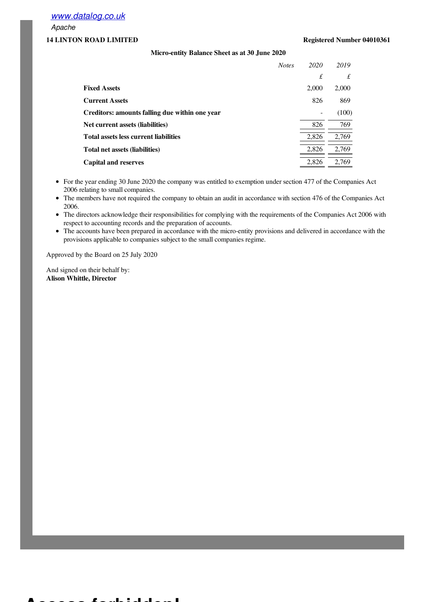*[www.datalog.co.uk](/)*

*Apache*

## 14 LINTON ROAD LIMITED Registered Number 04010361

## Micro-entity Balance Sheet as at 30 June 2020

|                                                | <b>Notes</b> | 2020  | 2019  |
|------------------------------------------------|--------------|-------|-------|
|                                                |              | £     | £     |
| <b>Fixed Assets</b>                            |              | 2,000 | 2,000 |
| <b>Current Assets</b>                          |              | 826   | 869   |
| Creditors: amounts falling due within one year |              |       | (100) |
| Net current assets (liabilities)               |              | 826   | 769   |
| <b>Total assets less current liabilities</b>   |              | 2,826 | 2,769 |
| Total net assets (liabilities)                 |              | 2,826 | 2,769 |
| <b>Capital and reserves</b>                    |              | 2,826 | 2,769 |

- For the year ending 30 June 2020 the company was entitled to exemption under section 477 of the Companies Act 2006 relating to small companies.
- The members have not required the company to obtain an audit in accordance with section 476 of the Companies Act 2006.
- The directors acknowledge their responsibilities for complying with the requirements of the Companies Act 2006 with respect to accounting records and the preparation of accounts.
- The accounts have been prepared in accordance with the micro-entity provisions and delivered in accordance with the provisions applicable to companies subject to the small companies regime.

Approved by the Board on 25 July 2020

And signed on their behalf by: Alison Whittle, Director

**Access forbidden!**